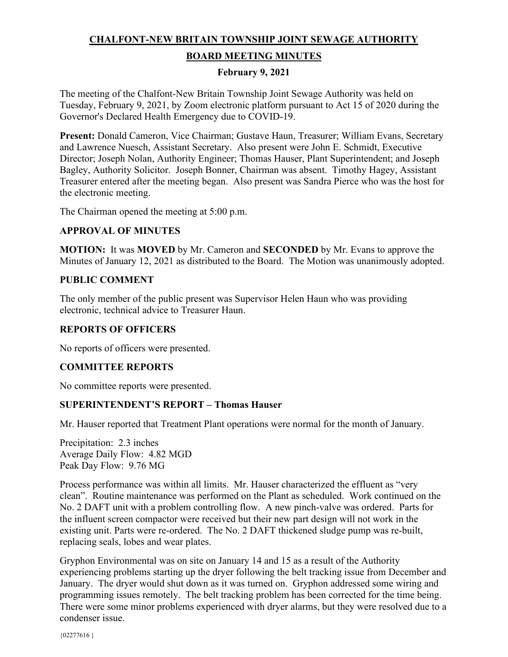# **CHALFONT-NEW BRITAIN TOWNSHIP JOINT SEWAGE AUTHORITY BOARD MEETING MINUTES**

### **February 9, 2021**

The meeting of the Chalfont-New Britain Township Joint Sewage Authority was held on Tuesday, February 9, 2021, by Zoom electronic platform pursuant to Act 15 of 2020 during the Governor's Declared Health Emergency due to COVID-19.

**Present:** Donald Cameron, Vice Chairman; Gustave Haun, Treasurer; William Evans, Secretary and Lawrence Nuesch, Assistant Secretary. Also present were John E. Schmidt, Executive Director; Joseph Nolan, Authority Engineer; Thomas Hauser, Plant Superintendent; and Joseph Bagley, Authority Solicitor. Joseph Bonner, Chairman was absent. Timothy Hagey, Assistant Treasurer entered after the meeting began. Also present was Sandra Pierce who was the host for the electronic meeting.

The Chairman opened the meeting at 5:00 p.m.

### **APPROVAL OF MINUTES**

**MOTION:** It was **MOVED** by Mr. Cameron and **SECONDED** by Mr. Evans to approve the Minutes of January 12, 2021 as distributed to the Board. The Motion was unanimously adopted.

### **PUBLIC COMMENT**

The only member of the public present was Supervisor Helen Haun who was providing electronic, technical advice to Treasurer Haun.

### **REPORTS OF OFFICERS**

No reports of officers were presented.

#### **COMMITTEE REPORTS**

No committee reports were presented.

#### **SUPERINTENDENT'S REPORT – Thomas Hauser**

Mr. Hauser reported that Treatment Plant operations were normal for the month of January.

Precipitation: 2.3 inches Average Daily Flow: 4.82 MGD Peak Day Flow: 9.76 MG

Process performance was within all limits. Mr. Hauser characterized the effluent as "very clean". Routine maintenance was performed on the Plant as scheduled. Work continued on the No. 2 DAFT unit with a problem controlling flow. A new pinch-valve was ordered. Parts for the influent screen compactor were received but their new part design will not work in the existing unit. Parts were re-ordered. The No. 2 DAFT thickened sludge pump was re-built, replacing seals, lobes and wear plates.

Gryphon Environmental was on site on January 14 and 15 as a result of the Authority experiencing problems starting up the dryer following the belt tracking issue from December and January. The dryer would shut down as it was turned on. Gryphon addressed some wiring and programming issues remotely. The belt tracking problem has been corrected for the time being. There were some minor problems experienced with dryer alarms, but they were resolved due to a condenser issue.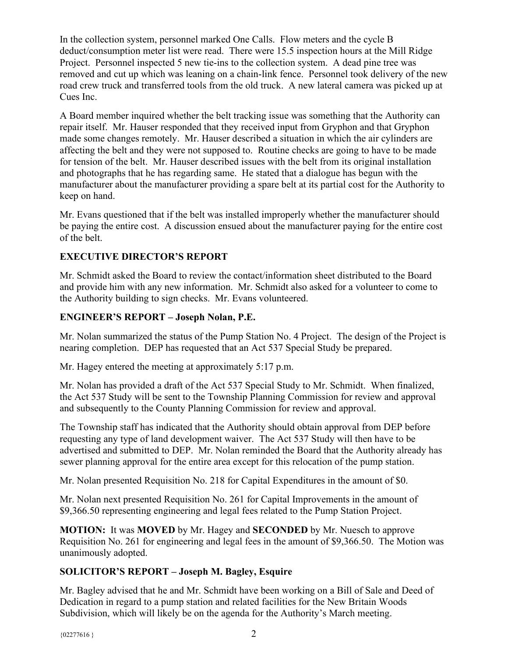In the collection system, personnel marked One Calls. Flow meters and the cycle B deduct/consumption meter list were read. There were 15.5 inspection hours at the Mill Ridge Project. Personnel inspected 5 new tie-ins to the collection system. A dead pine tree was removed and cut up which was leaning on a chain-link fence. Personnel took delivery of the new road crew truck and transferred tools from the old truck. A new lateral camera was picked up at Cues Inc.

A Board member inquired whether the belt tracking issue was something that the Authority can repair itself. Mr. Hauser responded that they received input from Gryphon and that Gryphon made some changes remotely. Mr. Hauser described a situation in which the air cylinders are affecting the belt and they were not supposed to. Routine checks are going to have to be made for tension of the belt. Mr. Hauser described issues with the belt from its original installation and photographs that he has regarding same. He stated that a dialogue has begun with the manufacturer about the manufacturer providing a spare belt at its partial cost for the Authority to keep on hand.

Mr. Evans questioned that if the belt was installed improperly whether the manufacturer should be paying the entire cost. A discussion ensued about the manufacturer paying for the entire cost of the belt.

# **EXECUTIVE DIRECTOR'S REPORT**

Mr. Schmidt asked the Board to review the contact/information sheet distributed to the Board and provide him with any new information. Mr. Schmidt also asked for a volunteer to come to the Authority building to sign checks. Mr. Evans volunteered.

# **ENGINEER'S REPORT – Joseph Nolan, P.E.**

Mr. Nolan summarized the status of the Pump Station No. 4 Project. The design of the Project is nearing completion. DEP has requested that an Act 537 Special Study be prepared.

Mr. Hagey entered the meeting at approximately 5:17 p.m.

Mr. Nolan has provided a draft of the Act 537 Special Study to Mr. Schmidt. When finalized, the Act 537 Study will be sent to the Township Planning Commission for review and approval and subsequently to the County Planning Commission for review and approval.

The Township staff has indicated that the Authority should obtain approval from DEP before requesting any type of land development waiver. The Act 537 Study will then have to be advertised and submitted to DEP. Mr. Nolan reminded the Board that the Authority already has sewer planning approval for the entire area except for this relocation of the pump station.

Mr. Nolan presented Requisition No. 218 for Capital Expenditures in the amount of \$0.

Mr. Nolan next presented Requisition No. 261 for Capital Improvements in the amount of \$9,366.50 representing engineering and legal fees related to the Pump Station Project.

**MOTION:** It was **MOVED** by Mr. Hagey and **SECONDED** by Mr. Nuesch to approve Requisition No. 261 for engineering and legal fees in the amount of \$9,366.50. The Motion was unanimously adopted.

# **SOLICITOR'S REPORT – Joseph M. Bagley, Esquire**

Mr. Bagley advised that he and Mr. Schmidt have been working on a Bill of Sale and Deed of Dedication in regard to a pump station and related facilities for the New Britain Woods Subdivision, which will likely be on the agenda for the Authority's March meeting.